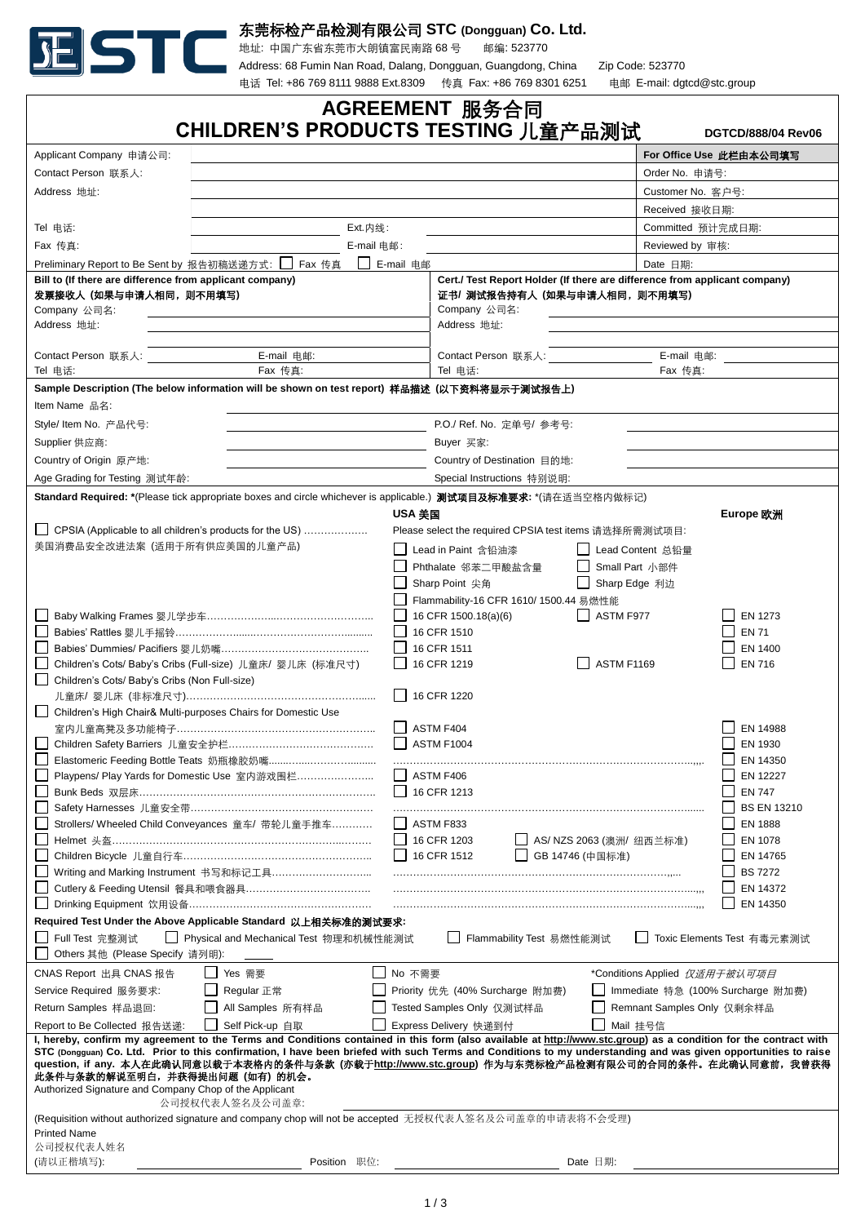

东莞标检产品检测有限公司 **STC (Dongguan) Co. Ltd.**

地址: 中国广东省东莞市大朗镇富民南路 68 号 邮编: 523770

Address: 68 Fumin Nan Road, Dalang, Dongguan, Guangdong, China Zip Code: 523770 电话 Tel: +86 769 8111 9888 Ext.8309 传真 Fax: +86 769 8301 6251 电邮 E-mail: dgtcd@stc.group

| AGREEMENT 服务合同<br>CHILDREN'S PRODUCTS TESTING 儿童产品测试<br><b>DGTCD/888/04 Rev06</b>                                                                                                                                                                                                                                                                                                                                                                                                                                                                        |                                                                                                                         |                                                        |        |                                           |                            |                                   |  |  |
|----------------------------------------------------------------------------------------------------------------------------------------------------------------------------------------------------------------------------------------------------------------------------------------------------------------------------------------------------------------------------------------------------------------------------------------------------------------------------------------------------------------------------------------------------------|-------------------------------------------------------------------------------------------------------------------------|--------------------------------------------------------|--------|-------------------------------------------|----------------------------|-----------------------------------|--|--|
| Applicant Company 申请公司:                                                                                                                                                                                                                                                                                                                                                                                                                                                                                                                                  |                                                                                                                         |                                                        |        |                                           | For Office Use 此栏由本公司填写    |                                   |  |  |
| Contact Person 联系人:                                                                                                                                                                                                                                                                                                                                                                                                                                                                                                                                      |                                                                                                                         |                                                        |        |                                           | Order No. 申请号:             |                                   |  |  |
| Address 地址:                                                                                                                                                                                                                                                                                                                                                                                                                                                                                                                                              |                                                                                                                         |                                                        |        |                                           | Customer No. 客户号:          |                                   |  |  |
|                                                                                                                                                                                                                                                                                                                                                                                                                                                                                                                                                          |                                                                                                                         |                                                        |        |                                           | Received 接收日期:             |                                   |  |  |
|                                                                                                                                                                                                                                                                                                                                                                                                                                                                                                                                                          |                                                                                                                         |                                                        |        |                                           |                            |                                   |  |  |
| Tel 电话:<br>Fax 传真:                                                                                                                                                                                                                                                                                                                                                                                                                                                                                                                                       | Ext.内线:<br>E-mail 电邮:                                                                                                   |                                                        |        |                                           | Committed 预计完成日期:          |                                   |  |  |
| _ E-mail 电邮                                                                                                                                                                                                                                                                                                                                                                                                                                                                                                                                              |                                                                                                                         |                                                        |        |                                           | Reviewed by 审核:            |                                   |  |  |
| Preliminary Report to Be Sent by 报告初稿送递方式: L_I Fax 传真<br>Bill to (If there are difference from applicant company)<br>发票接收人 (如果与申请人相同, 则不用填写)                                                                                                                                                                                                                                                                                                                                                                                                             | Date 日期:<br>Cert./ Test Report Holder (If there are difference from applicant company)<br>证书/ 测试报告持有人 (如果与申请人相同, 则不用填写) |                                                        |        |                                           |                            |                                   |  |  |
| Company 公司名:<br>Address 地址:                                                                                                                                                                                                                                                                                                                                                                                                                                                                                                                              | Company 公司名:<br>Address 地址:                                                                                             |                                                        |        |                                           |                            |                                   |  |  |
|                                                                                                                                                                                                                                                                                                                                                                                                                                                                                                                                                          |                                                                                                                         |                                                        |        | E-mail 电邮:                                |                            |                                   |  |  |
| E-mail 电邮:<br>Contact Person 联系人:<br>Tel 电话:                                                                                                                                                                                                                                                                                                                                                                                                                                                                                                             | Fax 传真:                                                                                                                 |                                                        |        | Contact Person 联系人:<br>Tel 电话:<br>Fax 传真: |                            |                                   |  |  |
|                                                                                                                                                                                                                                                                                                                                                                                                                                                                                                                                                          | Sample Description (The below information will be shown on test report) 样品描述 (以下资料将显示于测试报告上)                            |                                                        |        |                                           |                            |                                   |  |  |
| Item Name 品名:                                                                                                                                                                                                                                                                                                                                                                                                                                                                                                                                            |                                                                                                                         |                                                        |        |                                           |                            |                                   |  |  |
| Style/ Item No. 产品代号:<br>P.O./ Ref. No. 定单号/ 参考号:                                                                                                                                                                                                                                                                                                                                                                                                                                                                                                        |                                                                                                                         |                                                        |        |                                           |                            |                                   |  |  |
|                                                                                                                                                                                                                                                                                                                                                                                                                                                                                                                                                          |                                                                                                                         |                                                        |        |                                           |                            |                                   |  |  |
| Supplier 供应商:<br>Country of Origin 原产地:                                                                                                                                                                                                                                                                                                                                                                                                                                                                                                                  |                                                                                                                         |                                                        |        | Buyer 买家:                                 |                            |                                   |  |  |
|                                                                                                                                                                                                                                                                                                                                                                                                                                                                                                                                                          |                                                                                                                         |                                                        |        | Country of Destination 目的地:               |                            |                                   |  |  |
| Age Grading for Testing 测试年龄:                                                                                                                                                                                                                                                                                                                                                                                                                                                                                                                            |                                                                                                                         | Special Instructions 特别说明:                             |        |                                           |                            |                                   |  |  |
| Standard Required: *(Please tick appropriate boxes and circle whichever is applicable.) 测试项目及标准要求: *(请在适当空格内做标记)                                                                                                                                                                                                                                                                                                                                                                                                                                         |                                                                                                                         |                                                        |        |                                           |                            |                                   |  |  |
|                                                                                                                                                                                                                                                                                                                                                                                                                                                                                                                                                          | USA 美国                                                                                                                  |                                                        |        |                                           |                            | Europe 欧洲                         |  |  |
| CPSIA (Applicable to all children's products for the US)                                                                                                                                                                                                                                                                                                                                                                                                                                                                                                 |                                                                                                                         | Please select the required CPSIA test items 请选择所需测试项目: |        |                                           |                            |                                   |  |  |
| 美国消费品安全改进法案 (适用于所有供应美国的儿童产品)                                                                                                                                                                                                                                                                                                                                                                                                                                                                                                                             |                                                                                                                         | Lead in Paint 含铅油漆                                     |        | Lead Content 总铅量                          |                            |                                   |  |  |
|                                                                                                                                                                                                                                                                                                                                                                                                                                                                                                                                                          |                                                                                                                         | Phthalate 邻苯二甲酸盐含量                                     |        | Small Part 小部件                            |                            |                                   |  |  |
|                                                                                                                                                                                                                                                                                                                                                                                                                                                                                                                                                          |                                                                                                                         | Sharp Point 尖角                                         |        | Sharp Edge 利边                             |                            |                                   |  |  |
|                                                                                                                                                                                                                                                                                                                                                                                                                                                                                                                                                          |                                                                                                                         | Flammability-16 CFR 1610/ 1500.44 易燃性能                 |        |                                           |                            |                                   |  |  |
|                                                                                                                                                                                                                                                                                                                                                                                                                                                                                                                                                          |                                                                                                                         | 16 CFR 1500.18(a)(6)                                   |        | $\Box$ ASTM F977                          |                            | EN 1273                           |  |  |
|                                                                                                                                                                                                                                                                                                                                                                                                                                                                                                                                                          | 16 CFR 1510<br>16 CFR 1511                                                                                              |                                                        |        |                                           |                            | <b>EN 71</b><br>EN 1400           |  |  |
| Children's Cots/ Baby's Cribs (Full-size) 儿童床/ 婴儿床 (标准尺寸)                                                                                                                                                                                                                                                                                                                                                                                                                                                                                                |                                                                                                                         | 16 CFR 1219<br>ASTM F1169                              |        |                                           |                            | <b>EN 716</b>                     |  |  |
| Children's Cots/ Baby's Cribs (Non Full-size)                                                                                                                                                                                                                                                                                                                                                                                                                                                                                                            |                                                                                                                         |                                                        |        |                                           |                            |                                   |  |  |
| $\Box$ 16 CFR 1220                                                                                                                                                                                                                                                                                                                                                                                                                                                                                                                                       |                                                                                                                         |                                                        |        |                                           |                            |                                   |  |  |
| Children's High Chair& Multi-purposes Chairs for Domestic Use                                                                                                                                                                                                                                                                                                                                                                                                                                                                                            |                                                                                                                         |                                                        |        |                                           |                            |                                   |  |  |
|                                                                                                                                                                                                                                                                                                                                                                                                                                                                                                                                                          | ASTM F404                                                                                                               |                                                        |        |                                           |                            | EN 14988                          |  |  |
|                                                                                                                                                                                                                                                                                                                                                                                                                                                                                                                                                          | ASTM F1004                                                                                                              |                                                        |        |                                           |                            | EN 1930                           |  |  |
| Playpens/ Play Yards for Domestic Use 室内游戏围栏                                                                                                                                                                                                                                                                                                                                                                                                                                                                                                             | ASTM F406                                                                                                               |                                                        |        |                                           |                            | EN 14350<br>EN 12227              |  |  |
|                                                                                                                                                                                                                                                                                                                                                                                                                                                                                                                                                          |                                                                                                                         |                                                        |        |                                           |                            | <b>EN 747</b>                     |  |  |
|                                                                                                                                                                                                                                                                                                                                                                                                                                                                                                                                                          | □ 16 CFR 1213<br><b>BS EN 13210</b>                                                                                     |                                                        |        |                                           |                            |                                   |  |  |
| Strollers/ Wheeled Child Conveyances 童车/ 带轮儿童手推车                                                                                                                                                                                                                                                                                                                                                                                                                                                                                                         |                                                                                                                         | ASTM F833                                              |        |                                           |                            | <b>EN 1888</b>                    |  |  |
|                                                                                                                                                                                                                                                                                                                                                                                                                                                                                                                                                          |                                                                                                                         | $\Box$ 16 CFR 1203                                     |        | AS/ NZS 2063 (澳洲/纽西兰标准)                   |                            | EN 1078                           |  |  |
|                                                                                                                                                                                                                                                                                                                                                                                                                                                                                                                                                          |                                                                                                                         | 16 CFR 1512                                            | $\Box$ | GB 14746 (中国标准)                           |                            | EN 14765                          |  |  |
|                                                                                                                                                                                                                                                                                                                                                                                                                                                                                                                                                          |                                                                                                                         |                                                        |        |                                           |                            | <b>BS 7272</b>                    |  |  |
|                                                                                                                                                                                                                                                                                                                                                                                                                                                                                                                                                          |                                                                                                                         |                                                        |        |                                           | $\mathsf{L}$               | EN 14372                          |  |  |
|                                                                                                                                                                                                                                                                                                                                                                                                                                                                                                                                                          |                                                                                                                         |                                                        |        |                                           |                            | EN 14350                          |  |  |
| Required Test Under the Above Applicable Standard 以上相关标准的测试要求:                                                                                                                                                                                                                                                                                                                                                                                                                                                                                           |                                                                                                                         |                                                        |        |                                           |                            |                                   |  |  |
| Flammability Test 易燃性能测试<br>Full Test 完整测试<br>□ Physical and Mechanical Test 物理和机械性能测试<br>Toxic Elements Test 有毒元素测试<br>Others 其他 (Please Specify 请列明):                                                                                                                                                                                                                                                                                                                                                                                                  |                                                                                                                         |                                                        |        |                                           |                            |                                   |  |  |
| CNAS Report 出具 CNAS 报告<br>□ Yes 需要                                                                                                                                                                                                                                                                                                                                                                                                                                                                                                                       | $\Box$ No 不需要                                                                                                           |                                                        |        | *Conditions Applied 仅适用于被认可项目             |                            |                                   |  |  |
| □ Regular 正常<br>Service Required 服务要求:                                                                                                                                                                                                                                                                                                                                                                                                                                                                                                                   |                                                                                                                         | □ Priority 优先 (40% Surcharge 附加费)                      |        |                                           |                            | Immediate 特急 (100% Surcharge 附加费) |  |  |
| All Samples 所有样品<br>Return Samples 样品退回:                                                                                                                                                                                                                                                                                                                                                                                                                                                                                                                 |                                                                                                                         | Tested Samples Only 仅测试样品                              |        |                                           | Remnant Samples Only 仅剩余样品 |                                   |  |  |
| Report to Be Collected 报告送递:<br>$\mathbf{1}$<br>Self Pick-up 自取                                                                                                                                                                                                                                                                                                                                                                                                                                                                                          |                                                                                                                         | Express Delivery 快递到付                                  |        | Mail 挂号信                                  |                            |                                   |  |  |
| I, hereby, confirm my agreement to the Terms and Conditions contained in this form (also available at http://www.stc.group) as a condition for the contract with<br>STC (Dongguan) Co. Ltd. Prior to this confirmation, I have been briefed with such Terms and Conditions to my understanding and was given opportunities to raise<br>question, if any. 本人在此确认同意以载于本表格内的条件与条款 (亦载于http://www.stc.group) 作为与东莞标检产品检测有限公司的合同的条件。在此确认同意前,我曾获得<br>此条件与条款的解说至明白,并获得提出问题(如有)的机会。<br>Authorized Signature and Company Chop of the Applicant<br>公司授权代表人签名及公司盖章: |                                                                                                                         |                                                        |        |                                           |                            |                                   |  |  |
| (Requisition without authorized signature and company chop will not be accepted 无授权代表人签名及公司盖章的申请表将不会受理)                                                                                                                                                                                                                                                                                                                                                                                                                                                  |                                                                                                                         |                                                        |        |                                           |                            |                                   |  |  |
| <b>Printed Name</b><br>公司授权代表人姓名                                                                                                                                                                                                                                                                                                                                                                                                                                                                                                                         |                                                                                                                         |                                                        |        |                                           |                            |                                   |  |  |
| (请以正楷填写):<br>Position 职位:                                                                                                                                                                                                                                                                                                                                                                                                                                                                                                                                |                                                                                                                         |                                                        |        | Date 日期:                                  |                            |                                   |  |  |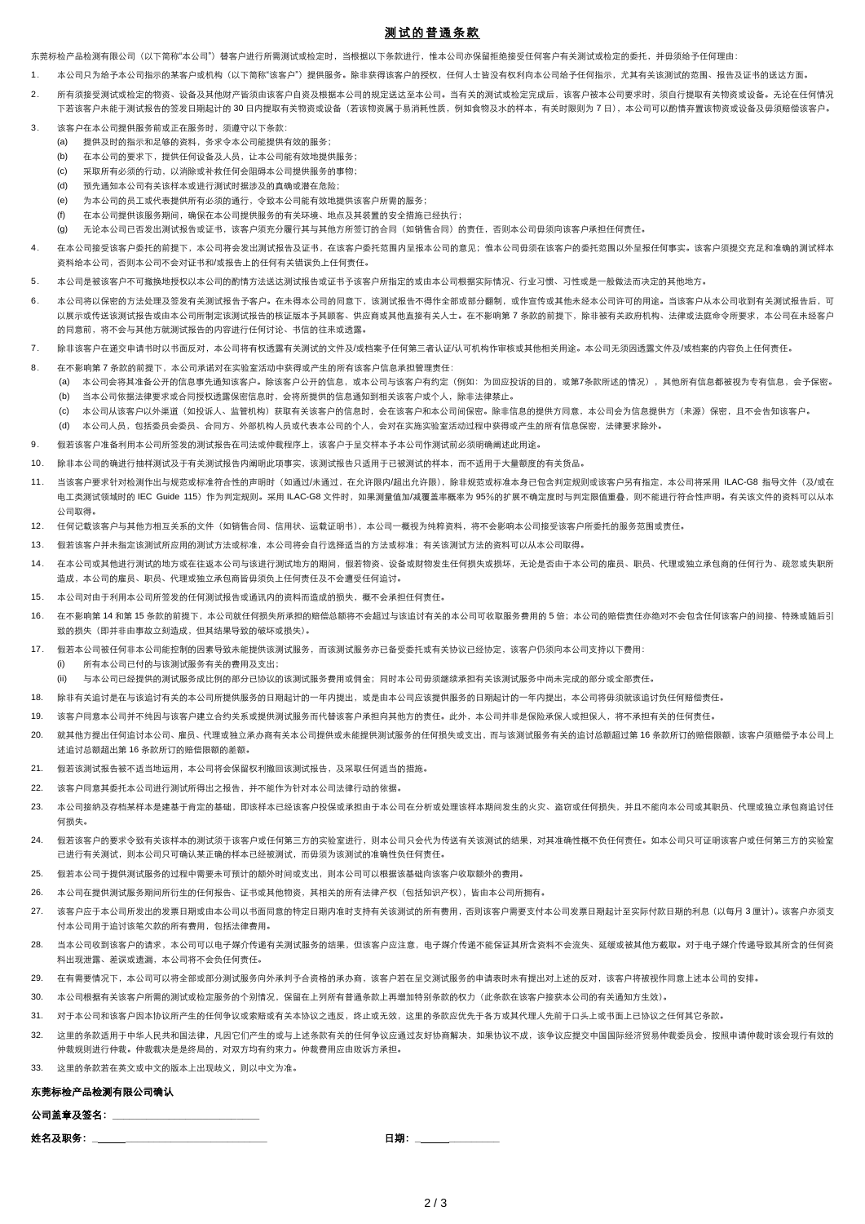# 测 试的 普通条 款

东莞标检产品检测有限公司(以下简称"本公司")替客户进行所需测试或检定时,当根据以下条款进行,惟本公司亦保留拒绝接受任何客户有关测试或检定的委托,并毋须给予任何理由:

- 1. 本公司只为给予本公司指示的某客户或机构(以下简称"该客户")提供服务。除非获得该客户的授权,任何人十皆没有权利向本公司给予任何指示,尤其有关该测试的范围、报告及证书的送达方面。
- 2. 所有须接受测试或检定的物资、设备及其他财产皆须由该客户自资及根据本公司的规定送达至本公司。当有关的测试或检定完成后,该客户被本公司要求时,须自行提取有关物资或设备。无论在任何情况 下若该客户未能于测试报告的签发日期起计的 30 日内提取有关物资或设备(若该物资属于易消耗性质,例如食物及水的样本,有关时限则为 7 日),本公司可以酌情弃罾该物资或设备及毋须赔偿该客户。
- 3. 该客户在本公司提供服务前或正在服务时,须遵守以下条款:
	- (a) 提供及时的指示和足够的资料,务求令本公司能提供有效的服务;
	- (b) 在本公司的要求下,提供任何设备及人员,让本公司能有效地提供服务;
	- (c) 采取所有必须的行动,以消除或补救任何会阻碍本公司提供服务的事物;
	- (d) 预先通知本公司有关该样本或进行测试时据涉及的真确或潜在危险;
	- (e) 为本公司的员工或代表提供所有必须的通行,令致本公司能有效地提供该客户所需的服务;
	- (f) 在本公司提供该服务期间,确保在本公司提供服务的有关环境、地点及其装臵的安全措施已经执行;
	- (g) 无论本公司已否发出测试报告或证书,该客户须充分履行其与其他方所签订的合同(如销售合同)的责任,否则本公司毋须向该客户承担任何责任。
- 4. 在本公司接受该客户委托的前提下,本公司将会发出测试报告及证书,在该客户委托范围内呈报本公司的意见;惟本公司毋须在该客户的委托范围以外呈报任何事实。该客户须提交充足和准确的测试样本 资料给本公司,否则本公司不会对证书和/或报告上的任何有关错误负上任何责任。
- 5. 本公司是被该客户不可撤换地授权以本公司的酌情方法送达测试报告或证书予该客户所指定的或由本公司根据实际情况、行业习惯、习性或是一般做法而决定的其他地方。
- 6. 本公司将以保密的方法处理及签发有关测试报告予客户。在未得本公司的同意下,该测试报告不得作全部或部分翻制,或作宣传或其他未经本公司许可的用途。当该客户从本公司收到有关测试报告后,可 以展示或传送该测试报告或测试报告和核证版本予其顾客、供应商或其他直接有关人士。在不影响第 7 条款的前提下,除非被有关政府机构、法律或法庭命令所要求,本公司在未经客户 的同意前,将不会与其他方就测试报告的内容进行任何讨论、书信的往来或透露。
- 7. 除非该客户在递交申请书时以书面反对,本公司将有权透露有关测试的文件及/或档案予任何第三者认证/认可机构作审核或其他相关用途。本公司无须因透露文件及/或档案的内容负上任何责任。
- 8. 在不影响第 7 条款的前提下,本公司承诺对在实验室活动中获得或产生的所有该客户信息承担管理责任:
	- (a) 本公司会将其准备公开的信息事先通知该客户。除该客户公开的信息,或本公司与该客户有约定(例如:为回应投诉的目的,或第7条款所述的情况),其他所有信息都被视为专有信息,会予保密。 (b) 当本公司依据法律要求或合同授权透露保密信息时,会将所提供的信息通知到相关该客户或个人,除非法律禁止。
	- (c) 本公司从该客户以外渠道(如投诉人、监管机构)获取有关该客户的信息时,会在该客户和本公司间保密。除非信息的提供方同意,本公司会为信息提供方(来源)保密,且不会告知该客户。
	- (d) 本公司人员,包括委员会委员、合同方、外部机构人员或代表本公司的个人,会对在实施实验室活动过程中获得或产生的所有信息保密,法律要求除外。
- 9. 假若该客户准备利用本公司所签发的测试报告在司法或仲裁程序上,该客户于呈交样本予本公司作测试前必须明确阐述此用途。
- 10. 除非本公司的确进行抽样测试及于有关测试报告内阐明此项事实,该测试报告只适用于已被测试的样本,而不适用于大量额度的有关货品。
- 11. 当该客户要求针对检测作出与规范或标准符合性的声明时(如通过/未通过,在允许限内/超出允许限),除非规范或标准本身已包含判定规则或该客户另有指定,本公司将采用ILAC-G8 指导文件(及/或在 电工类测试领域时的 IEC Guide 115)作为判定规则。采用 ILAC-G8 文件时,如果测量值加/减覆盖率概率为 95%的扩展不确定度时与判定限值重叠,则不能进行符合性声明。有关该文件的资料可以从本 公司取得。
- 12. 任何记载该客户与其他方相互关系的文件(如销售合同、信用状、运载证明书),本公司一概视为纯粹资料,将不会影响本公司接受该客户所委托的服务范围或责任。
- 13. 假若该客户并未指定该测试所应用的测试方法或标准,本公司将会自行选择适当的方法或标准;有关该测试方法的资料可以从本公司取得。
- 14. 在本公司或其他进行测试的地方或在往返本公司与该进行测试地方的期间,假若物资、设备或财物发生任何损失或损坏,无论是否由于本公司的雇员、职员、代理或独立承包商的任何行为、疏忽或失职所 造成,本公司的雇员、职员、代理或独立承包商皆毋须负上任何责任及不会遭受任何追讨。
- 15. 本公司对由于利用本公司所签发的任何测试报告或通讯内的资料而造成的损失,概不会承担任何责任。
- 16. 在不影响第 14 和第 15 条款的前提下,本公司就任何损失所承担的赔偿总额将不会超过与该追讨有关的本公司可收取服务费用的 5 倍;本公司的赔偿责任亦绝对不会包含任何该客户的间接、特殊或随后引 致的损失(即并非由事故立刻造成,但其结果导致的破坏或损失)。
- 17. 假若本公司被任何非本公司能控制的因素导致未能提供该测试服务,而该测试服务亦已备受委托或有关协议已经协定,该客户仍须向本公司支持以下费用:
	- (i) 所有本公司已付的与该测试服务有关的费用及支出;
	- (ii) 与本公司已经提供的测试服务成比例的部分已协议的该测试服务费用或佣金;同时本公司毋须继续承担有关该测试服务中尚未完成的部分或全部责任。
- 18. 除非有关追讨是在与该追讨有关的本公司所提供服务的日期起计的一年内提出,或是由本公司应该提供服务的日期起计的一年内提出,本公司将毋须就该追讨负任何赔偿责任。
- 19. 该客户同意本公司并不纯因与该客户建立合约关系或提供测试服务而代替该客户承担向其他方的责任。此外,本公司并非是保险承保人或担保人,将不承担有关的任何责任。
- 20. 就其他方提出任何追讨本公司、雇员、代理或独立承办商有关本公司提供或未能提供测试服务的任何损失或支出,而与该测试服务有关的追讨总额超过第 16 条款所订的赔偿限额,该客户须赔偿予本公司上 述追讨总额超出第 16 条款所订的赔偿限额的差额。
- 21. 假若该测试报告被不适当地运用,本公司将会保留权利撤回该测试报告,及采取任何适当的措施。
- 22. 该客户同意其委托本公司进行测试所得出之报告,并不能作为针对本公司法律行动的依据。
- 23. 本公司接纳及存档某样本是建基于肯定的基础,即该样本已经该客户投保或承担由于本公司在分析或处理该样本期间发生的火灾、盗窃或任何损失,并且不能向本公司或其职员、代理或独立承包商追讨任 何损失。
- 24. 假若该客户的要求令致有关该样本的测试须于该客户或任何第三方的实验室进行,则本公司只会代为传送有关该测试的结果,对其准确性概不负任何责任。如本公司只可证明该客户或任何第三方的实验室 已进行有关测试,则本公司只可确认某正确的样本已经被测试,而毋须为该测试的准确性负任何责任。
- 25. 假若本公司于提供测试服务的过程中需要未可预计的额外时间或支出,则本公司可以根据该基础向该客户收取额外的费用。
- 26. 本公司在提供测试服务期间所衍生的任何报告、证书或其他物资,其相关的所有法律产权(包括知识产权),皆由本公司所拥有。
- 27. 该客户应于本公司所发出的发票日期或由本公司以书面同意的特定日期内准时支持有关该测试的所有费用,否则该客户需要支付本公司发票日期起计至实际付款日期的利息(以每月 3 厘计)。该客户亦须支 付本公司用于追讨该笔欠款的所有费用,包括法律费用。
- 28. 当本公司收到该客户的请求,本公司可以电子媒介传递有关测试服务的结果,但该客户应注意,电子媒介传递不能保证其所含资料不会流失、延缓或被其他方截取。对于电子媒介传递导致其所含的任何资 料出现泄露、差误或遗漏,本公司将不会负任何责任。
- 29. 在有需要情况下,本公司可以将全部或部分测试服务向外承判予合资格的承办商,该客户若在呈交测试服务的申请表时未有提出对上述的反对,该客户将被视作同意上述本公司的安排。
- 30. 本公司根据有关该客户所需的测试或检定服务的个别情况,保留在上列所有普通条款上再增加特别条款的权力(此条款在该客户接获本公司的有关通知方生效)。
- 31. 对于本公司和该客户因本协议所产生的任何争议或索赔或有关本协议之违反,终止或无效,这里的条款应优先于各方或其代理人先前于口头上或书面上已协议之任何其它条款。
- 32. 这里的条款适用于中华人民共和国法律,凡因它们产生的或与上述条款有关的任何争议应通过友好协商解决,如果协议不成,该争议应提交中国国际经济贸易仲裁委员会,按照申请仲裁时该会现行有效的 仲裁规则进行仲裁。仲裁裁决是是终局的,对双方均有约束力。仲裁费用应由败诉方承担。

## 33. 这里的条款若在英文或中文的版本上出现歧义,则以中文为准。

## 东莞标检产品检测有限公司确认

#### 公司盖章及签名:**\_\_\_\_\_\_\_\_\_\_\_\_\_\_\_\_\_\_\_\_\_\_\_\_\_\_**

姓名及职务:**\_ \_\_\_\_\_\_\_\_\_\_\_\_\_\_\_\_\_\_\_\_\_\_\_\_\_** 日期:**\_ \_\_\_\_\_\_\_\_\_**